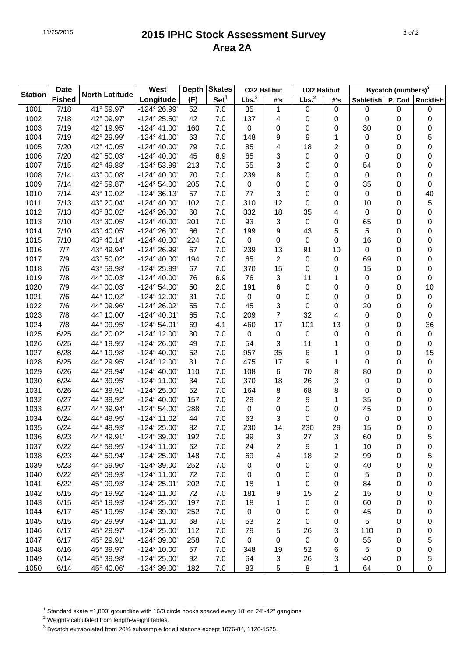## 11/25/2015 **2015 IPHC Stock Assessment Survey Area 2A**

|                | <b>Date</b>   |                       | <b>West</b>           | <b>Skates</b><br>Depth |                  | <b>O32 Halibut</b> |                | <b>U32 Halibut</b> |                | Bycatch (numbers) <sup>3</sup> |   |                  |
|----------------|---------------|-----------------------|-----------------------|------------------------|------------------|--------------------|----------------|--------------------|----------------|--------------------------------|---|------------------|
| <b>Station</b> | <b>Fished</b> | <b>North Latitude</b> | Longitude             | (F)                    | Set <sup>1</sup> | Lbs. <sup>2</sup>  | #'s            | Lbs. <sup>2</sup>  | #'s            | Sablefish   P. Cod   Rockfish  |   |                  |
| 1001           | 7/18          | 41° 59.97'            | -124° 26.99'          | 52                     | 7.0              | 35                 | $\mathbf{1}$   | 0                  | $\pmb{0}$      | $\pmb{0}$                      | 0 | 0                |
| 1002           | 7/18          | 42° 09.97'            | -124° 25.50'          | 42                     | 7.0              | 137                | 4              | 0                  | 0              | $\boldsymbol{0}$               | 0 | $\boldsymbol{0}$ |
| 1003           | 7/19          | 42° 19.95'            | $-124^{\circ}$ 41.00' | 160                    | 7.0              | 0                  | 0              | 0                  | 0              | 30                             | 0 | $\boldsymbol{0}$ |
| 1004           | 7/19          | 42° 29.99'            | $-124^{\circ}$ 41.00' | 63                     | 7.0              | 148                | 9              | 9                  | 1              | 0                              | 0 | 5                |
| 1005           | 7/20          | 42° 40.05'            | $-124^{\circ}$ 40.00' | 79                     | 7.0              | 85                 | 4              | 18                 | $\overline{c}$ | 0                              | 0 | 0                |
| 1006           | 7/20          | 42° 50.03'            | $-124^{\circ}$ 40.00' | 45                     | 6.9              | 65                 | 3              | 0                  | 0              | 0                              | 0 | 0                |
| 1007           | 7/15          | 42° 49.88'            | -124° 53.99'          | 213                    | 7.0              | 55                 | 3              | 0                  | 0              | 54                             | 0 | $\boldsymbol{0}$ |
| 1008           | 7/14          | 43° 00.08'            | $-124^{\circ}$ 40.00' | 70                     | 7.0              | 239                | 8              | 0                  | 0              | $\pmb{0}$                      | 0 | $\boldsymbol{0}$ |
| 1009           | 7/14          | 42° 59.87'            | $-124^{\circ} 54.00'$ | 205                    | 7.0              | 0                  | 0              | 0                  | 0              | 35                             | 0 | $\boldsymbol{0}$ |
| 1010           | 7/14          | 43° 10.02'            | $-124^{\circ}36.13'$  | 57                     | 7.0              | 77                 | 3              | 0                  | 0              | $\mathbf 0$                    | 0 | 40               |
| 1011           | 7/13          | 43° 20.04'            | $-124^{\circ}$ 40.00' | 102                    | 7.0              | 310                | 12             | 0                  | 0              | 10                             | 0 | 5                |
| 1012           | 7/13          | 43° 30.02'            | -124° 26.00'          | 60                     | 7.0              | 332                | 18             | 35                 | 4              | $\pmb{0}$                      | 0 | 0                |
| 1013           | 7/10          | 43° 30.05'            | $-124^{\circ}$ 40.00' | 201                    | 7.0              | 93                 | 3              | 0                  | 0              | 65                             | 0 | 0                |
| 1014           | 7/10          | 43° 40.05'            | -124° 26.00'          | 66                     | 7.0              | 199                | 9              | 43                 | 5              | 5                              | 0 | 0                |
| 1015           | 7/10          | 43° 40.14'            | $-124^{\circ}$ 40.00' | 224                    | 7.0              | 0                  | 0              | 0                  | 0              | 16                             | 0 | 0                |
| 1016           | 7/7           | 43° 49.94'            | -124° 26.99'          | 67                     | 7.0              | 239                | 13             | 91                 | 10             | $\pmb{0}$                      | 0 | 0                |
| 1017           | 7/9           | 43° 50.02'            | $-124^{\circ}$ 40.00' | 194                    | 7.0              | 65                 | $\overline{c}$ | 0                  | 0              | 69                             | 0 | 0                |
| 1018           | 7/6           | 43° 59.98'            | -124° 25.99'          | 67                     | 7.0              | 370                | 15             | 0                  | 0              | 15                             | 0 | 0                |
| 1019           | 7/8           | 44° 00.03'            | $-124^{\circ}$ 40.00' | 76                     | 6.9              | 76                 | 3              | 11                 | 1              | 0                              | 0 | 0                |
| 1020           | 7/9           | 44° 00.03'            | $-124^{\circ} 54.00'$ | 50                     | 2.0              | 191                | 6              | 0                  | 0              | 0                              | 0 | 10               |
| 1021           | 7/6           | 44° 10.02'            | -124° 12.00'          | 31                     | 7.0              | 0                  | 0              | 0                  | 0              | 0                              | 0 | 0                |
| 1022           | 7/6           | 44° 09.96'            | -124° 26.02'          | 55                     | 7.0              | 45                 | 3              | 0                  | 0              | 20                             | 0 | $\boldsymbol{0}$ |
| 1023           | 7/8           | 44° 10.00'            | $-124^{\circ}$ 40.01' | 65                     | 7.0              | 209                | $\overline{7}$ | 32                 | 4              | 0                              | 0 | 0                |
| 1024           | 7/8           | 44° 09.95'            | $-124^{\circ} 54.01'$ | 69                     | 4.1              | 460                | 17             | 101                | 13             | 0                              | 0 | 36               |
| 1025           | 6/25          | 44° 20.02'            | -124° 12.00'          | 30                     | 7.0              | 0                  | 0              | 0                  | 0              | 0                              | 0 | 0                |
| 1026           | 6/25          | 44° 19.95'            | -124° 26.00'          | 49                     | 7.0              | 54                 | 3              | 11                 | 1              | 0                              | 0 | 0                |
| 1027           | 6/28          | 44° 19.98'            | $-124^{\circ}$ 40.00' | 52                     | 7.0              | 957                | 35             | 6                  | 1              | 0                              | 0 | 15               |
| 1028           | 6/25          | 44° 29.95'            | -124° 12.00'          | 31                     | 7.0              | 475                | 17             | 9                  | 1              | 0                              | 0 | 0                |
| 1029           | 6/26          | 44° 29.94'            | $-124^{\circ}$ 40.00' | 110                    | 7.0              | 108                | 6              | 70                 | 8              | 80                             | 0 | 0                |
| 1030           | 6/24          | 44° 39.95'            | $-124^{\circ}$ 11.00' | 34                     | 7.0              | 370                | 18             | 26                 | 3              | 0                              | 0 | 0                |
| 1031           | 6/26          | 44° 39.91'            | -124° 25.00'          | 52                     | 7.0              | 164                | 8              | 68                 | 8              | 0                              | 0 | 0                |
| 1032           | 6/27          | 44° 39.92'            | $-124^{\circ}$ 40.00' | 157                    | 7.0              | 29                 | $\overline{c}$ | 9                  | 1              | 35                             | 0 | 0                |
| 1033           | 6/27          | 44° 39.94'            | $-124^{\circ} 54.00'$ | 288                    | 7.0              | 0                  | 0              | 0                  | 0              | 45                             | 0 | 0                |
| 1034           | 6/24          | 44° 49.95'            | -124° 11.02'          | 44                     | 7.0              | 63                 | 3              | 0                  | 0              | $\pmb{0}$                      | 0 | 0                |
| 1035           | 6/24          | 44° 49.93'            | -124° 25.00'          | 82                     | 7.0              | 230                | 14             | 230                | 29             | 15                             | 0 | $\boldsymbol{0}$ |
| 1036           | 6/23          | 44° 49.91'            | -124° 39.00'          | 192                    | 7.0              | 99                 | 3              | 27                 | 3              | 60                             | 0 | 5                |
| 1037           | 6/22          | 44° 59.95'            | -124° 11.00'          | 62                     | 7.0              | 24                 | 2              | 9                  | 1              | 10                             | 0 | 0                |
| 1038           | 6/23          | 44° 59.94'            | -124° 25.00'          | 148                    | 7.0              | 69                 | 4              | 18                 | 2              | 99                             | 0 | 5                |
| 1039           | 6/23          | 44° 59.96'            | $-124^{\circ}$ 39.00' | 252                    | 7.0              | 0                  | 0              | 0                  | 0              | 40                             | 0 | 0                |
| 1040           | 6/22          | 45° 09.93'            | $-124^{\circ}$ 11.00' | 72                     | 7.0              | 0                  | 0              | 0                  | 0              | 5                              | 0 | 0                |
| 1041           | 6/22          | 45° 09.93'            | -124° 25.01'          | 202                    | 7.0              | 18                 | 1              | 0                  | 0              | 84                             | 0 | 0                |
| 1042           | 6/15          | 45° 19.92'            | $-124^{\circ}$ 11.00' | 72                     | 7.0              | 181                | 9              | 15                 | $\overline{c}$ | 15                             | 0 | 0                |
| 1043           | 6/15          | 45° 19.93'            | -124° 25.00'          | 197                    | 7.0              | 18                 | 1              | 0                  | 0              | 60                             | 0 | 0                |
| 1044           | 6/17          | 45° 19.95'            | -124° 39.00'          | 252                    | 7.0              | 0                  | 0              | 0                  | 0              | 45                             | 0 | 0                |
| 1045           | 6/15          | 45° 29.99'            | $-124^{\circ}$ 11.00' | 68                     | 7.0              | 53                 | 2              | 0                  | 0              | 5                              | 0 | 0                |
| 1046           | 6/17          | 45° 29.97'            | -124° 25.00'          | 112                    | 7.0              | 79                 | 5              | 26                 | 3              | 110                            | 0 | 0                |
| 1047           | 6/17          | 45° 29.91'            | -124° 39.00'          | 258                    | 7.0              | $\boldsymbol{0}$   | 0              | $\boldsymbol{0}$   | 0              | 55                             | 0 | 5                |
| 1048           | 6/16          | 45° 39.97'            | -124° 10.00'          | 57                     | 7.0              | 348                | 19             | 52                 | 6              | 5                              | 0 | 0                |
| 1049           | 6/14          | 45° 39.98'            | -124° 25.00'          | 92                     | 7.0              | 64                 | 3              | 26                 | 3              | 40                             | 0 | 5                |
| 1050           | 6/14          | 45° 40.06'            | -124° 39.00'          | 182                    | 7.0              | 83                 | 5              | 8                  | 1              | 64                             | 0 | 0                |

<sup>1</sup> Standard skate =1,800' groundline with 16/0 circle hooks spaced every 18' on 24"-42" gangions.

<sup>2</sup> Weights calculated from length-weight tables.

 $^3$  Bycatch extrapolated from 20% subsample for all stations except 1076-84, 1126-1525.